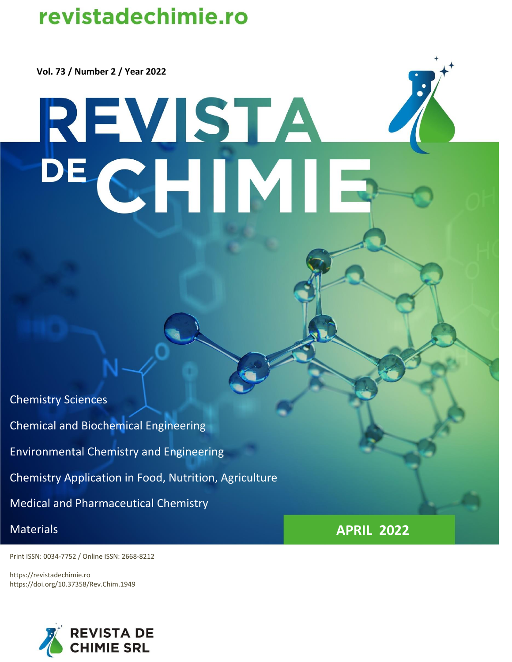# revistadechimie.ro

 **Vol. 73 / Number 2 / Year 2022**

# REVISTA<br>DECHIMIE

Chemistry Sciences Chemical and Biochemical Engineering Environmental Chemistry and Engineering Chemistry Application in Food, Nutrition, Agriculture Medical and Pharmaceutical Chemistry **Materials APRIL 2022** 

Print ISSN: 0034-7752 / Online ISSN: 2668-8212

https://revistadechimie.ro https://doi.org/10.37358/Rev.Chim.1949

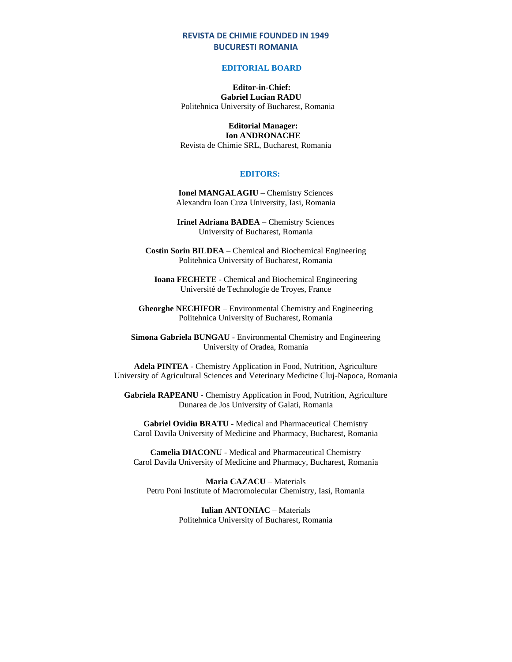### **REVISTA DE CHIMIE FOUNDED IN 1949 BUCURESTI ROMANIA**

### **EDITORIAL BOARD**

### **Editor-in-Chief: Gabriel Lucian RADU** Politehnica University of Bucharest, Romania

### **Editorial Manager: Ion ANDRONACHE**

Revista de Chimie SRL, Bucharest, Romania

### **EDITORS:**

**Ionel MANGALAGIU** – Chemistry Sciences Alexandru Ioan Cuza University, Iasi, Romania

**Irinel Adriana BADEA** – Chemistry Sciences University of Bucharest, Romania

**Costin Sorin BILDEA** – Chemical and Biochemical Engineering Politehnica University of Bucharest, Romania

**Ioana FECHETE** - Chemical and Biochemical Engineering Université de Technologie de Troyes, France

**Gheorghe NECHIFOR** – Environmental Chemistry and Engineering Politehnica University of Bucharest, Romania

**Simona Gabriela BUNGAU** - Environmental Chemistry and Engineering University of Oradea, Romania

**Adela PINTEA** - Chemistry Application in Food, Nutrition, Agriculture University of Agricultural Sciences and Veterinary Medicine Cluj-Napoca, Romania

**Gabriela RAPEANU** - Chemistry Application in Food, Nutrition, Agriculture Dunarea de Jos University of Galati, Romania

**Gabriel Ovidiu BRATU** - Medical and Pharmaceutical Chemistry Carol Davila University of Medicine and Pharmacy, Bucharest, Romania

**Camelia DIACONU** - Medical and Pharmaceutical Chemistry Carol Davila University of Medicine and Pharmacy, Bucharest, Romania

**Maria CAZACU** – Materials Petru Poni Institute of Macromolecular Chemistry, Iasi, Romania

> **Iulian ANTONIAC** – Materials Politehnica University of Bucharest, Romania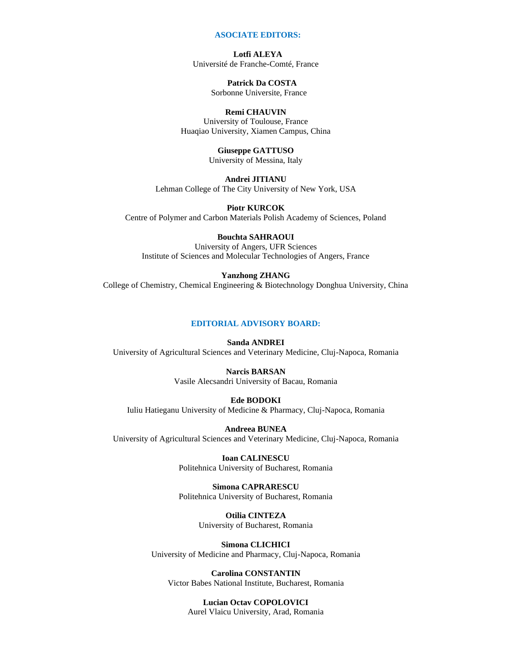### **ASOCIATE EDITORS:**

 **Lotfi ALEYA** Université de Franche-Comté, France

> **Patrick Da COSTA** Sorbonne Universite, France

### **Remi CHAUVIN**

University of Toulouse, France Huaqiao University, Xiamen Campus, China

> **Giuseppe GATTUSO** University of Messina, Italy

**Andrei JITIANU** Lehman College of The City University of New York, USA

**Piotr KURCOK** Centre of Polymer and Carbon Materials Polish Academy of Sciences, Poland

### **Bouchta SAHRAOUI**

University of Angers, UFR Sciences Institute of Sciences and Molecular Technologies of Angers, France

### **Yanzhong ZHANG**

College of Chemistry, Chemical Engineering & Biotechnology Donghua University, China

### **EDITORIAL ADVISORY BOARD:**

**Sanda ANDREI** University of Agricultural Sciences and Veterinary Medicine, Cluj-Napoca, Romania

### **Narcis BARSAN**

Vasile Alecsandri University of Bacau, Romania

### **Ede BODOKI**

Iuliu Hatieganu University of Medicine & Pharmacy, Cluj-Napoca, Romania

**Andreea BUNEA** University of Agricultural Sciences and Veterinary Medicine, Cluj-Napoca, Romania

> **Ioan CALINESCU** Politehnica University of Bucharest, Romania

> **Simona CAPRARESCU** Politehnica University of Bucharest, Romania

> > **Otilia CINTEZA** University of Bucharest, Romania

**Simona CLICHICI** University of Medicine and Pharmacy, Cluj-Napoca, Romania

**Carolina CONSTANTIN**  Victor Babes National Institute, Bucharest, Romania

### **Lucian Octav COPOLOVICI**

Aurel Vlaicu University, Arad, Romania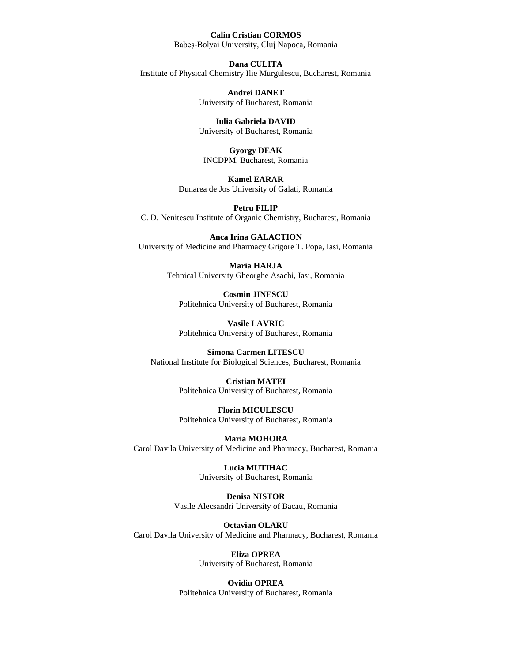## **Calin Cristian CORMOS**

Babeș-Bolyai University, Cluj Napoca, Romania

### **Dana CULITA**

Institute of Physical Chemistry Ilie Murgulescu, Bucharest, Romania

**Andrei DANET**  University of Bucharest, Romania

**Iulia Gabriela DAVID** University of Bucharest, Romania

**Gyorgy DEAK** INCDPM, Bucharest, Romania

**Kamel EARAR** Dunarea de Jos University of Galati, Romania

**Petru FILIP**  C. D. Nenitescu Institute of Organic Chemistry, Bucharest, Romania

**Anca Irina GALACTION**  University of Medicine and Pharmacy Grigore T. Popa, Iasi, Romania

> **Maria HARJA**  Tehnical University Gheorghe Asachi, Iasi, Romania

**Cosmin JINESCU** Politehnica University of Bucharest, Romania

**Vasile LAVRIC** Politehnica University of Bucharest, Romania

**Simona Carmen LITESCU** National Institute for Biological Sciences, Bucharest, Romania

> **Cristian MATEI** Politehnica University of Bucharest, Romania

> **Florin MICULESCU** Politehnica University of Bucharest, Romania

**Maria MOHORA**  Carol Davila University of Medicine and Pharmacy, Bucharest, Romania

> **Lucia MUTIHAC**  University of Bucharest, Romania

**Denisa NISTOR**  Vasile Alecsandri University of Bacau, Romania

**Octavian OLARU**  Carol Davila University of Medicine and Pharmacy, Bucharest, Romania

> **Eliza OPREA** University of Bucharest, Romania

**Ovidiu OPREA** Politehnica University of Bucharest, Romania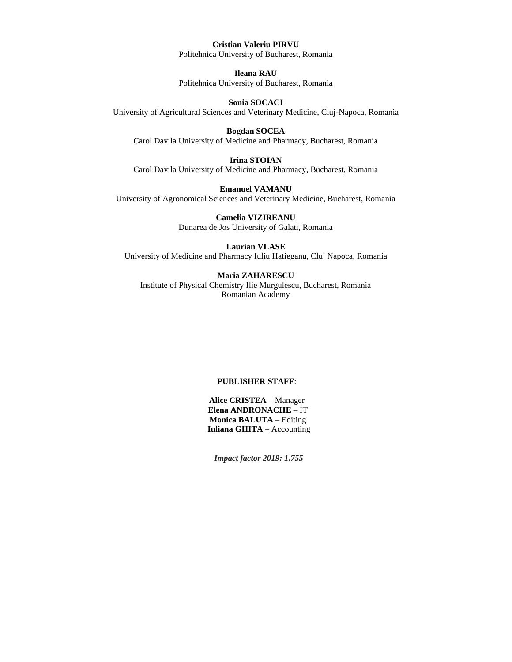### **Cristian Valeriu PIRVU**

Politehnica University of Bucharest, Romania

**Ileana RAU**  Politehnica University of Bucharest, Romania

**Sonia SOCACI** University of Agricultural Sciences and Veterinary Medicine, Cluj-Napoca, Romania

**Bogdan SOCEA**  Carol Davila University of Medicine and Pharmacy, Bucharest, Romania

**Irina STOIAN**  Carol Davila University of Medicine and Pharmacy, Bucharest, Romania

**Emanuel VAMANU**  University of Agronomical Sciences and Veterinary Medicine, Bucharest, Romania

> **Camelia VIZIREANU** Dunarea de Jos University of Galati, Romania

**Laurian VLASE**  University of Medicine and Pharmacy Iuliu Hatieganu, Cluj Napoca, Romania

**Maria ZAHARESCU** Institute of Physical Chemistry Ilie Murgulescu, Bucharest, Romania Romanian Academy

### **PUBLISHER STAFF**:

**Alice CRISTEA** – Manager  **Elena ANDRONACHE** – IT  **Monica BALUTA** – Editing  **Iuliana GHITA** – Accounting

 *Impact factor 2019: 1.755*